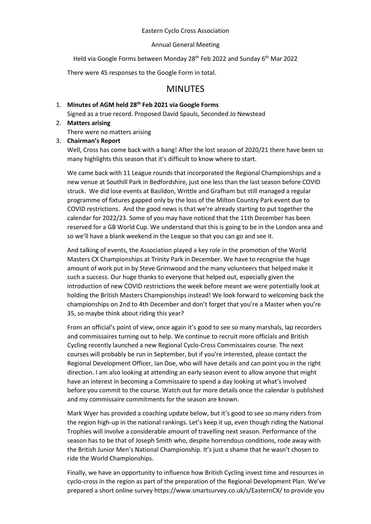# Eastern Cyclo Cross Association

#### Annual General Meeting

Held via Google Forms between Monday 28<sup>th</sup> Feb 2022 and Sunday 6<sup>th</sup> Mar 2022

There were 45 responses to the Google Form in total.

# MINUTES

# 1. **Minutes of AGM held 28th Feb 2021 via Google Forms**

Signed as a true record. Proposed David Spauls, Seconded Jo Newstead

# 2. **Matters arising** There were no matters arising

3. **Chairman's Report**

Well, Cross has come back with a bang! After the lost season of 2020/21 there have been so many highlights this season that it's difficult to know where to start.

We came back with 11 League rounds that incorporated the Regional Championships and a new venue at Southill Park in Bedfordshire, just one less than the last season before COVID struck. We did lose events at Basildon, Writtle and Grafham but still managed a regular programme of fixtures gapped only by the loss of the Milton Country Park event due to COVID restrictions. And the good news is that we're already starting to put together the calendar for 2022/23. Some of you may have noticed that the 11th December has been reserved for a GB World Cup. We understand that this is going to be in the London area and so we'll have a blank weekend in the League so that you can go and see it.

And talking of events, the Association played a key role in the promotion of the World Masters CX Championships at Trinity Park in December. We have to recognise the huge amount of work put in by Steve Grimwood and the many volunteers that helped make it such a success. Our huge thanks to everyone that helped out, especially given the introduction of new COVID restrictions the week before meant we were potentially look at holding the British Masters Championships instead! We look forward to welcoming back the championships on 2nd to 4th December and don't forget that you're a Master when you're 35, so maybe think about riding this year?

From an official's point of view, once again it's good to see so many marshals, lap recorders and commissaires turning out to help. We continue to recruit more officials and British Cycling recently launched a new Regional Cyclo-Cross Commissaires course. The next courses will probably be run in September, but if you're interested, please contact the Regional Development Officer, Ian Doe, who will have details and can point you in the right direction. I am also looking at attending an early season event to allow anyone that might have an interest in becoming a Commissaire to spend a day looking at what's involved before you commit to the course. Watch out for more details once the calendar is published and my commissaire commitments for the season are known.

Mark Wyer has provided a coaching update below, but it's good to see so many riders from the region high-up in the national rankings. Let's keep it up, even though riding the National Trophies will involve a considerable amount of travelling next season. Performance of the season has to be that of Joseph Smith who, despite horrendous conditions, rode away with the British Junior Men's National Championship. It's just a shame that he wasn't chosen to ride the World Championships.

Finally, we have an opportunity to influence how British Cycling invest time and resources in cyclo-cross in the region as part of the preparation of the Regional Development Plan. We've prepared a short online survey https://www.smartsurvey.co.uk/s/EasternCX/ to provide you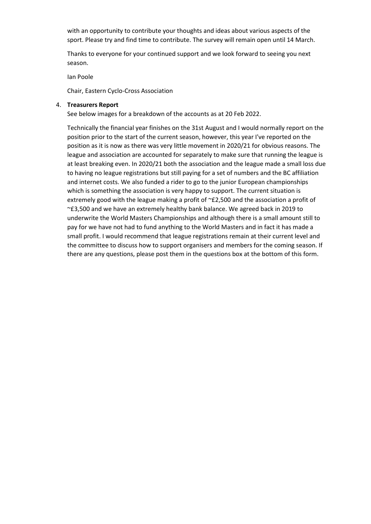with an opportunity to contribute your thoughts and ideas about various aspects of the sport. Please try and find time to contribute. The survey will remain open until 14 March.

Thanks to everyone for your continued support and we look forward to seeing you next season.

Ian Poole

Chair, Eastern Cyclo-Cross Association

#### 4. **Treasurers Report**

See below images for a breakdown of the accounts as at 20 Feb 2022.

Technically the financial year finishes on the 31st August and I would normally report on the position prior to the start of the current season, however, this year I've reported on the position as it is now as there was very little movement in 2020/21 for obvious reasons. The league and association are accounted for separately to make sure that running the league is at least breaking even. In 2020/21 both the association and the league made a small loss due to having no league registrations but still paying for a set of numbers and the BC affiliation and internet costs. We also funded a rider to go to the junior European championships which is something the association is very happy to support. The current situation is extremely good with the league making a profit of ~£2,500 and the association a profit of ~£3,500 and we have an extremely healthy bank balance. We agreed back in 2019 to underwrite the World Masters Championships and although there is a small amount still to pay for we have not had to fund anything to the World Masters and in fact it has made a small profit. I would recommend that league registrations remain at their current level and the committee to discuss how to support organisers and members for the coming season. If there are any questions, please post them in the questions box at the bottom of this form.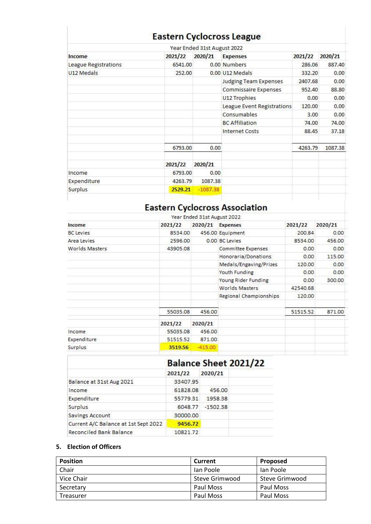# **Eastern Cyclocross League**

|                      |         | Year Ended 31st August 2022 |                              |         |         |
|----------------------|---------|-----------------------------|------------------------------|---------|---------|
| Income               | 2021/22 | 2020/21                     | <b>Expenses</b>              | 2021/22 | 2020/21 |
| League Registrations | 6541.00 |                             | 0.00 Numbers                 | 286.06  | 887.40  |
| U12 Medals           | 252.00  |                             | 0.00 U12 Medals              | 332.20  | 0.00    |
|                      |         |                             | <b>Judging Team Expenses</b> | 2407.68 | 0.00    |
|                      |         |                             | Commissaire Expenses         | 952.40  | 88.80   |
|                      |         |                             | U12 Trophies                 | 0.00    | 0.00    |
|                      |         |                             | League Event Registrations   | 120.00  | 0.00    |
|                      |         |                             | Consumables                  | 3.00    | 0.00    |
|                      |         |                             | <b>BC Affiliation</b>        | 74.00   | 74.00   |
|                      |         |                             | <b>Internet Costs</b>        | 88.45   | 37.18   |
|                      | 6793.00 | 0.00                        |                              | 4263.79 | 1087.38 |
|                      | 2021/22 | 2020/21                     |                              |         |         |
| Income               | 6793.00 | 0.00                        |                              |         |         |
| Expenditure          | 4263.79 | 1087.38                     |                              |         |         |
| Surplus              | 2529.21 | $-1087.38$                  |                              |         |         |
|                      |         |                             |                              |         |         |

# Eastern Cyclocross Association

|                  |          | Year Ended 31st August 2022 |                        |          |         |
|------------------|----------|-----------------------------|------------------------|----------|---------|
| Income           | 2021/22  | 2020/21                     | <b>Expenses</b>        | 2021/22  | 2020/21 |
| <b>BC</b> Levies | 8534.00  |                             | 456.00 Equipment       | 200.84   | 0.00    |
| Area Levies      | 2596.00  |                             | 0.00 BC Levies         | 8534.00  | 456.00  |
| Worlds Masters   | 43905.08 |                             | Committee Expenses     | 0.00     | 0.00    |
|                  |          |                             | Honoraria/Donations    | 0.00     | 115.00  |
|                  |          |                             | Medals/Engaving/Prizes | 120.00   | 0.00    |
|                  |          |                             | Youth Funding          | 0.00     | 0.00    |
|                  |          |                             | Young Rider Funding    | 0.00     | 300.00  |
|                  |          |                             | Worlds Masters         | 42540.68 |         |
|                  |          |                             | Regional Championships | 120.00   |         |
|                  | 55035.08 | 456.00                      |                        | 51515.52 | 871.00  |
|                  | 2021/22  | 2020/21                     |                        |          |         |
| Income           | 55035.08 | 456.00                      |                        |          |         |
| Expenditure      | 51515.52 | 871.00                      |                        |          |         |
| Surplus          | 3519.56  | $-415.00$                   |                        |          |         |

|                                      |          | <b>Balance Sheet 2021/22</b> |  |
|--------------------------------------|----------|------------------------------|--|
|                                      | 2021/22  | 2020/21                      |  |
| Balance at 31st Aug 2021             | 33407.95 |                              |  |
| Income                               | 61828.08 | 456.00                       |  |
| Expenditure                          | 55779.31 | 1958.38                      |  |
| Surplus                              | 6048.77  | $-1502.38$                   |  |
| Savings Account                      | 30000.00 |                              |  |
| Current A/C Balance at 1st Sept 2022 | 9456.72  |                              |  |
| Reconciled Bank Balance              | 10821.72 |                              |  |

# **5. Election of Officers**

| <b>Position</b> | <b>Current</b> | <b>Proposed</b> |
|-----------------|----------------|-----------------|
| Chair           | lan Poole      | lan Poole       |
| Vice Chair      | Steve Grimwood | Steve Grimwood  |
| Secretary       | Paul Moss      | Paul Moss       |
| Treasurer       | Paul Moss      | Paul Moss       |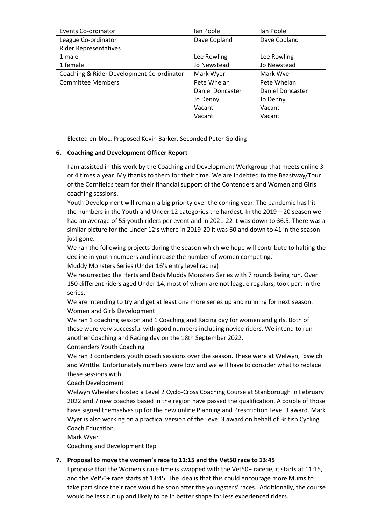| Events Co-ordinator                       | lan Poole        | lan Poole        |
|-------------------------------------------|------------------|------------------|
| League Co-ordinator                       | Dave Copland     | Dave Copland     |
| <b>Rider Representatives</b>              |                  |                  |
| 1 male                                    | Lee Rowling      | Lee Rowling      |
| 1 female                                  | Jo Newstead      | Jo Newstead      |
| Coaching & Rider Development Co-ordinator | Mark Wyer        | Mark Wyer        |
| <b>Committee Members</b>                  | Pete Whelan      | Pete Whelan      |
|                                           | Daniel Doncaster | Daniel Doncaster |
|                                           | Jo Denny         | Jo Denny         |
|                                           | Vacant           | Vacant           |
|                                           | Vacant           | Vacant           |

Elected en-bloc. Proposed Kevin Barker, Seconded Peter Golding

# **6. Coaching and Development Officer Report**

I am assisted in this work by the Coaching and Development Workgroup that meets online 3 or 4 times a year. My thanks to them for their time. We are indebted to the Beastway/Tour of the Cornfields team for their financial support of the Contenders and Women and Girls coaching sessions.

Youth Development will remain a big priority over the coming year. The pandemic has hit the numbers in the Youth and Under 12 categories the hardest. In the 2019 – 20 season we had an average of 55 youth riders per event and in 2021-22 it was down to 36.5. There was a similar picture for the Under 12's where in 2019-20 it was 60 and down to 41 in the season just gone.

We ran the following projects during the season which we hope will contribute to halting the decline in youth numbers and increase the number of women competing.

Muddy Monsters Series (Under 16's entry level racing)

We resurrected the Herts and Beds Muddy Monsters Series with 7 rounds being run. Over 150 different riders aged Under 14, most of whom are not league regulars, took part in the series.

We are intending to try and get at least one more series up and running for next season. Women and Girls Development

We ran 1 coaching session and 1 Coaching and Racing day for women and girls. Both of these were very successful with good numbers including novice riders. We intend to run another Coaching and Racing day on the 18th September 2022.

Contenders Youth Coaching

We ran 3 contenders youth coach sessions over the season. These were at Welwyn, Ipswich and Writtle. Unfortunately numbers were low and we will have to consider what to replace these sessions with.

Coach Development

Welwyn Wheelers hosted a Level 2 Cyclo-Cross Coaching Course at Stanborough in February 2022 and 7 new coaches based in the region have passed the qualification. A couple of those have signed themselves up for the new online Planning and Prescription Level 3 award. Mark Wyer is also working on a practical version of the Level 3 award on behalf of British Cycling Coach Education.

Mark Wyer

Coaching and Development Rep

# **7. Proposal to move the women's race to 11:15 and the Vet50 race to 13:45**

I propose that the Women's race time is swapped with the Vet50+ race;ie, it starts at 11:15, and the Vet50+ race starts at 13:45. The idea is that this could encourage more Mums to take part since their race would be soon after the youngsters' races. Additionally, the course would be less cut up and likely to be in better shape for less experienced riders.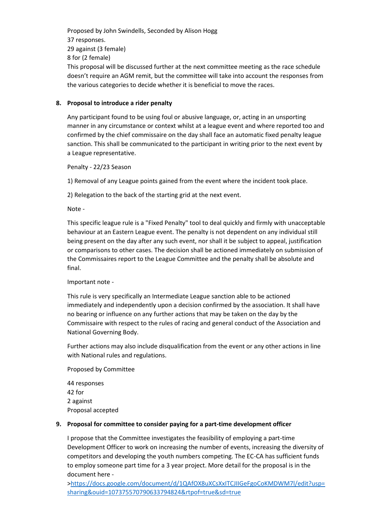Proposed by John Swindells, Seconded by Alison Hogg 37 responses. 29 against (3 female) 8 for (2 female) This proposal will be discussed further at the next committee meeting as the race schedule doesn't require an AGM remit, but the committee will take into account the responses from the various categories to decide whether it is beneficial to move the races.

# **8. Proposal to introduce a rider penalty**

Any participant found to be using foul or abusive language, or, acting in an unsporting manner in any circumstance or context whilst at a league event and where reported too and confirmed by the chief commissaire on the day shall face an automatic fixed penalty league sanction. This shall be communicated to the participant in writing prior to the next event by a League representative.

Penalty - 22/23 Season

1) Removal of any League points gained from the event where the incident took place.

2) Relegation to the back of the starting grid at the next event.

Note -

This specific league rule is a "Fixed Penalty" tool to deal quickly and firmly with unacceptable behaviour at an Eastern League event. The penalty is not dependent on any individual still being present on the day after any such event, nor shall it be subject to appeal, justification or comparisons to other cases. The decision shall be actioned immediately on submission of the Commissaires report to the League Committee and the penalty shall be absolute and final.

# Important note -

This rule is very specifically an Intermediate League sanction able to be actioned immediately and independently upon a decision confirmed by the association. It shall have no bearing or influence on any further actions that may be taken on the day by the Commissaire with respect to the rules of racing and general conduct of the Association and National Governing Body.

Further actions may also include disqualification from the event or any other actions in line with National rules and regulations.

Proposed by Committee

44 responses 42 for 2 against Proposal accepted

# **9. Proposal for committee to consider paying for a part-time development officer**

I propose that the Committee investigates the feasibility of employing a part-time Development Officer to work on increasing the number of events, increasing the diversity of competitors and developing the youth numbers competing. The EC-CA has sufficient funds to employ someone part time for a 3 year project. More detail for the proposal is in the document here -

[>https://docs.google.com/document/d/1QAfOX8uXCsXxITCJIIGeFgoCoKMDWM7l/edit?usp=](https://docs.google.com/document/d/1QAfOX8uXCsXxITCJIIGeFgoCoKMDWM7l/edit?usp=sharing&ouid=107375570790633794824&rtpof=true&sd=true) [sharing&ouid=107375570790633794824&rtpof=true&sd=true](https://docs.google.com/document/d/1QAfOX8uXCsXxITCJIIGeFgoCoKMDWM7l/edit?usp=sharing&ouid=107375570790633794824&rtpof=true&sd=true)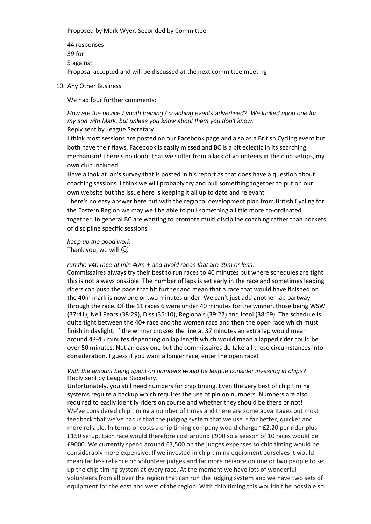#### Proposed by Mark Wyer. Seconded by Committee

44 responses 39 for 5 against Proposal accepted and will be discussed at the next committee meeting

10. Any Other Business

We had four further comments:

# *How are the novice / youth training / coaching events advertised? We lucked upon one for my son with Mark, but unless you know about them you don't know.* Reply sent by League Secretary

I think most sessions are posted on our Facebook page and also as a British Cycling event but both have their flaws, Facebook is easily missed and BC is a bit eclectic in its searching mechanism! There's no doubt that we suffer from a lack of volunteers in the club setups, my own club included.

Have a look at Ian's survey that is posted in his report as that does have a question about coaching sessions. I think we will probably try and pull something together to put on our own website but the issue here is keeping it all up to date and relevant.

There's no easy answer here but with the regional development plan from British Cycling for the Eastern Region we may well be able to pull something a little more co-ordinated together. In general BC are wanting to promote multi discipline coaching rather than pockets of discipline specific sessions

*keep up the good work*. Thank you, we will  $\circledS$ 

#### *run the v40 race at min 40m + and avoid races that are 39m or less*.

Commissaires always try their best to run races to 40 minutes but where schedules are tight this is not always possible. The number of laps is set early in the race and sometimes leading riders can push the pace that bit further and mean that a race that would have finished on the 40m mark is now one or two minutes under. We can't just add another lap partway through the race. Of the 11 races 6 were under 40 minutes for the winner, those being WSW (37:41), Neil Pears (38:29), Diss (35:10), Regionals (39:27) and Iceni (38:59). The schedule is quite tight between the 40+ race and the women race and then the open race which must finish in daylight. If the winner crosses the line at 37 minutes an extra lap would mean around 43-45 minutes depending on lap length which would mean a lapped rider could be over 50 minutes. Not an easy one but the commissaires do take all these circumstances into consideration. I guess if you want a longer race, enter the open race!

#### *With the amount being spent on numbers would be league consider investing in chips?* Reply sent by League Secretary.

Unfortunately, you still need numbers for chip timing. Even the very best of chip timing systems require a backup which requires the use of pin on numbers. Numbers are also required to easily identify riders on course and whether they should be there or not! We've considered chip timing a number of times and there are some advantages but most feedback that we've had is that the judging system that we use is far better, quicker and more reliable. In terms of costs a chip timing company would charge ~£2.20 per rider plus £150 setup. Each race would therefore cost around £900 so a season of 10 races would be £9000. We currently spend around £3,500 on the judges expenses so chip timing would be considerably more expensive. If we invested in chip timing equipment ourselves it would mean far less reliance on volunteer judges and far more reliance on one or two people to set up the chip timing system at every race. At the moment we have lots of wonderful volunteers from all over the region that can run the judging system and we have two sets of equipment for the east and west of the region. With chip timing this wouldn't be possible so